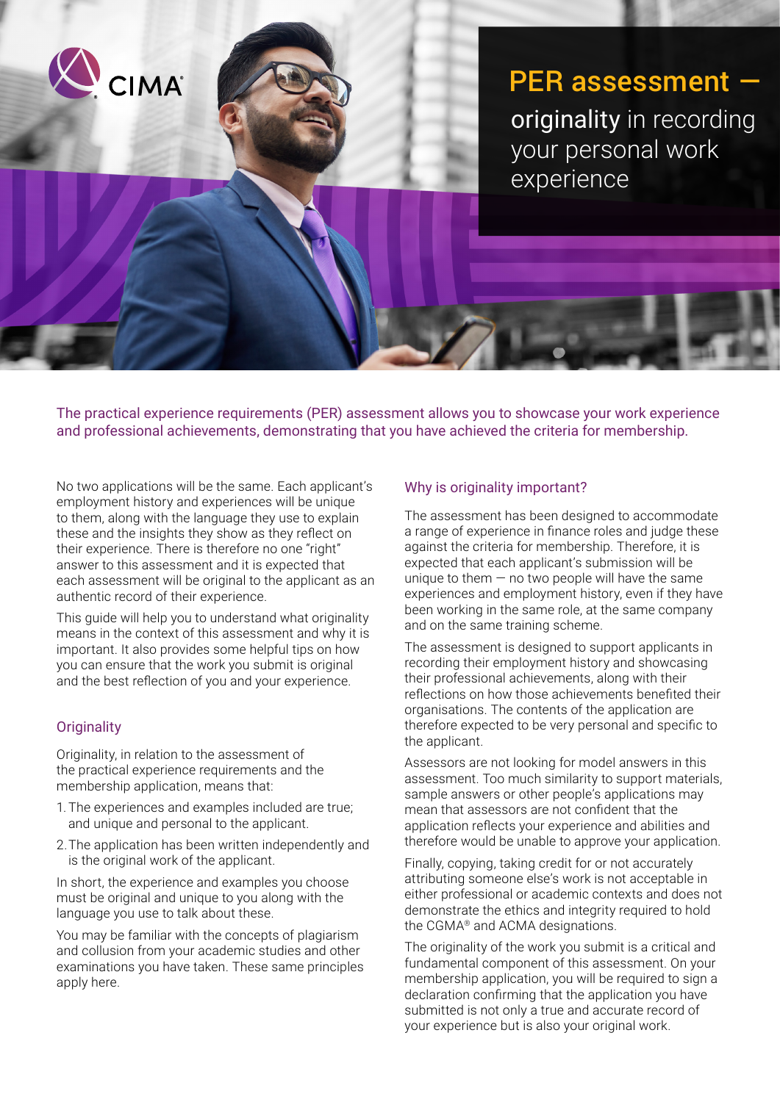# PER assessment —

originality in recording your personal work experience

The practical experience requirements (PER) assessment allows you to showcase your work experience and professional achievements, demonstrating that you have achieved the criteria for membership.

No two applications will be the same. Each applicant's employment history and experiences will be unique to them, along with the language they use to explain these and the insights they show as they reflect on their experience. There is therefore no one "right" answer to this assessment and it is expected that each assessment will be original to the applicant as an authentic record of their experience.

CIMA

This guide will help you to understand what originality means in the context of this assessment and why it is important. It also provides some helpful tips on how you can ensure that the work you submit is original and the best reflection of you and your experience.

#### **Originality**

Originality, in relation to the assessment of the practical experience requirements and the membership application, means that:

- 1.The experiences and examples included are true; and unique and personal to the applicant.
- 2.The application has been written independently and is the original work of the applicant.

In short, the experience and examples you choose must be original and unique to you along with the language you use to talk about these.

You may be familiar with the concepts of plagiarism and collusion from your academic studies and other examinations you have taken. These same principles apply here.

#### Why is originality important?

The assessment has been designed to accommodate a range of experience in finance roles and judge these against the criteria for membership. Therefore, it is expected that each applicant's submission will be unique to them  $-$  no two people will have the same experiences and employment history, even if they have been working in the same role, at the same company and on the same training scheme.

The assessment is designed to support applicants in recording their employment history and showcasing their professional achievements, along with their reflections on how those achievements benefited their organisations. The contents of the application are therefore expected to be very personal and specific to the applicant.

Assessors are not looking for model answers in this assessment. Too much similarity to support materials, sample answers or other people's applications may mean that assessors are not confident that the application reflects your experience and abilities and therefore would be unable to approve your application.

Finally, copying, taking credit for or not accurately attributing someone else's work is not acceptable in either professional or academic contexts and does not demonstrate the ethics and integrity required to hold the CGMA® and ACMA designations.

The originality of the work you submit is a critical and fundamental component of this assessment. On your membership application, you will be required to sign a declaration confirming that the application you have submitted is not only a true and accurate record of your experience but is also your original work.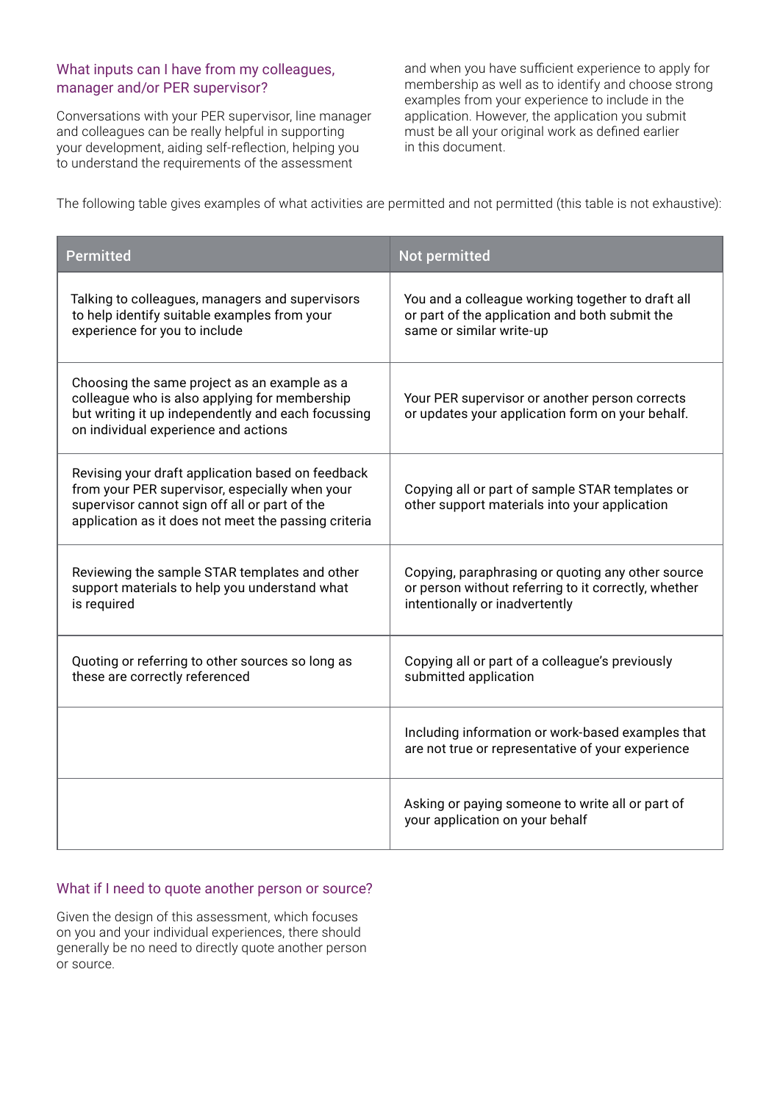#### What inputs can I have from my colleagues, manager and/or PER supervisor?

Conversations with your PER supervisor, line manager and colleagues can be really helpful in supporting your development, aiding self-reflection, helping you to understand the requirements of the assessment

and when you have sufficient experience to apply for membership as well as to identify and choose strong examples from your experience to include in the application. However, the application you submit must be all your original work as defined earlier in this document.

The following table gives examples of what activities are permitted and not permitted (this table is not exhaustive):

| <b>Permitted</b>                                                                                                                                                                                             | Not permitted                                                                                                                               |
|--------------------------------------------------------------------------------------------------------------------------------------------------------------------------------------------------------------|---------------------------------------------------------------------------------------------------------------------------------------------|
| Talking to colleagues, managers and supervisors<br>to help identify suitable examples from your<br>experience for you to include                                                                             | You and a colleague working together to draft all<br>or part of the application and both submit the<br>same or similar write-up             |
| Choosing the same project as an example as a<br>colleague who is also applying for membership<br>but writing it up independently and each focussing<br>on individual experience and actions                  | Your PER supervisor or another person corrects<br>or updates your application form on your behalf.                                          |
| Revising your draft application based on feedback<br>from your PER supervisor, especially when your<br>supervisor cannot sign off all or part of the<br>application as it does not meet the passing criteria | Copying all or part of sample STAR templates or<br>other support materials into your application                                            |
| Reviewing the sample STAR templates and other<br>support materials to help you understand what<br>is required                                                                                                | Copying, paraphrasing or quoting any other source<br>or person without referring to it correctly, whether<br>intentionally or inadvertently |
| Quoting or referring to other sources so long as<br>these are correctly referenced                                                                                                                           | Copying all or part of a colleague's previously<br>submitted application                                                                    |
|                                                                                                                                                                                                              | Including information or work-based examples that<br>are not true or representative of your experience                                      |
|                                                                                                                                                                                                              | Asking or paying someone to write all or part of<br>your application on your behalf                                                         |

# What if I need to quote another person or source?

Given the design of this assessment, which focuses on you and your individual experiences, there should generally be no need to directly quote another person or source.